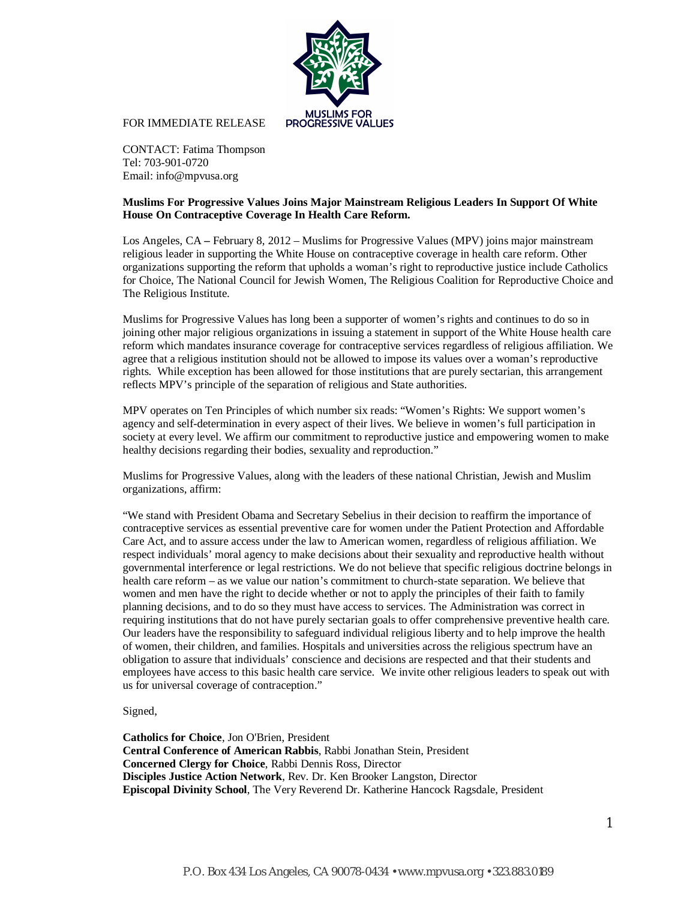

FOR IMMEDIATE RELEASE

CONTACT: Fatima Thompson Tel: 703-901-0720 Email: info@mpvusa.org

## **Muslims For Progressive Values Joins Major Mainstream Religious Leaders In Support Of White House On Contraceptive Coverage In Health Care Reform.**

Los Angeles, CA **–** February 8, 2012 – Muslims for Progressive Values (MPV) joins major mainstream religious leader in supporting the White House on contraceptive coverage in health care reform. Other organizations supporting the reform that upholds a woman's right to reproductive justice include Catholics for Choice, The National Council for Jewish Women, The Religious Coalition for Reproductive Choice and The Religious Institute.

Muslims for Progressive Values has long been a supporter of women's rights and continues to do so in joining other major religious organizations in issuing a statement in support of the White House health care reform which mandates insurance coverage for contraceptive services regardless of religious affiliation. We agree that a religious institution should not be allowed to impose its values over a woman's reproductive rights. While exception has been allowed for those institutions that are purely sectarian, this arrangement reflects MPV's principle of the separation of religious and State authorities.

MPV operates on Ten Principles of which number six reads: "Women's Rights: We support women's agency and self-determination in every aspect of their lives. We believe in women's full participation in society at every level. We affirm our commitment to reproductive justice and empowering women to make healthy decisions regarding their bodies, sexuality and reproduction."

Muslims for Progressive Values, along with the leaders of these national Christian, Jewish and Muslim organizations, affirm:

"We stand with President Obama and Secretary Sebelius in their decision to reaffirm the importance of contraceptive services as essential preventive care for women under the Patient Protection and Affordable Care Act, and to assure access under the law to American women, regardless of religious affiliation. We respect individuals' moral agency to make decisions about their sexuality and reproductive health without governmental interference or legal restrictions. We do not believe that specific religious doctrine belongs in health care reform – as we value our nation's commitment to church-state separation. We believe that women and men have the right to decide whether or not to apply the principles of their faith to family planning decisions, and to do so they must have access to services. The Administration was correct in requiring institutions that do not have purely sectarian goals to offer comprehensive preventive health care. Our leaders have the responsibility to safeguard individual religious liberty and to help improve the health of women, their children, and families. Hospitals and universities across the religious spectrum have an obligation to assure that individuals' conscience and decisions are respected and that their students and employees have access to this basic health care service. We invite other religious leaders to speak out with us for universal coverage of contraception."

Signed,

**Catholics for Choice**, Jon O'Brien, President **Central Conference of American Rabbis**, Rabbi Jonathan Stein, President **Concerned Clergy for Choice**, Rabbi Dennis Ross, Director **Disciples Justice Action Network**, Rev. Dr. Ken Brooker Langston, Director **Episcopal Divinity School**, The Very Reverend Dr. Katherine Hancock Ragsdale, President